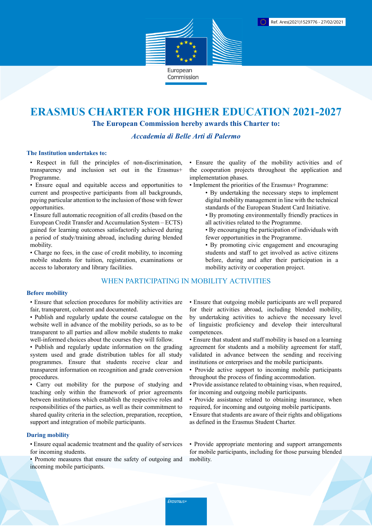

# **ERASMUS CHARTER FOR HIGHER EDUCATION 2021-2027**

**The European Commission hereby awards this Charter to:**

# *Accademia di Belle Arti di Palermo*

#### **The Institution undertakes to:**

• Respect in full the principles of non-discrimination, transparency and inclusion set out in the Erasmus+ Programme.

• Ensure equal and equitable access and opportunities to current and prospective participants from all backgrounds, paying particular attention to the inclusion of those with fewer opportunities.

• Ensure full automatic recognition of all credits (based on the European Credit Transfer and Accumulation System – ECTS) gained for learning outcomes satisfactorily achieved during a period of study/training abroad, including during blended mobility.

• Charge no fees, in the case of credit mobility, to incoming mobile students for tuition, registration, examinations or access to laboratory and library facilities.

# WHEN PARTICIPATING IN MOBILITY ACTIVITIES

### **Before mobility**

• Ensure that selection procedures for mobility activities are fair, transparent, coherent and documented.

- Publish and regularly update the course catalogue on the website well in advance of the mobility periods, so as to be transparent to all parties and allow mobile students to make well-informed choices about the courses they will follow.
- Publish and regularly update information on the grading system used and grade distribution tables for all study programmes. Ensure that students receive clear and transparent information on recognition and grade conversion procedures.

• Carry out mobility for the purpose of studying and teaching only within the framework of prior agreements between institutions which establish the respective roles and responsibilities of the parties, as well as their commitment to shared quality criteria in the selection, preparation, reception, support and integration of mobile participants.

## **During mobility**

• Ensure equal academic treatment and the quality of services for incoming students.

• Promote measures that ensure the safety of outgoing and incoming mobile participants.

• Ensure the quality of the mobility activities and of the cooperation projects throughout the application and implementation phases.

- Implement the priorities of the Erasmus+ Programme:
	- By undertaking the necessary steps to implement digital mobility management in line with the technical standards of the European Student Card Initiative.
	- By promoting environmentally friendly practices in all activities related to the Programme.
	- By encouraging the participation of individuals with fewer opportunities in the Programme.
	- By promoting civic engagement and encouraging students and staff to get involved as active citizens before, during and after their participation in a mobility activity or cooperation project.

• Ensure that outgoing mobile participants are well prepared for their activities abroad, including blended mobility, by undertaking activities to achieve the necessary level of linguistic proficiency and develop their intercultural competences.

- Ensure that student and staff mobility is based on a learning agreement for students and a mobility agreement for staff, validated in advance between the sending and receiving institutions or enterprises and the mobile participants.
- Provide active support to incoming mobile participants throughout the process of finding accommodation.
- Provide assistance related to obtaining visas, when required, for incoming and outgoing mobile participants.
- Provide assistance related to obtaining insurance, when required, for incoming and outgoing mobile participants.
- Ensure that students are aware of their rights and obligations as defined in the Erasmus Student Charter.

• Provide appropriate mentoring and support arrangements for mobile participants, including for those pursuing blended mobility.

Erasmus+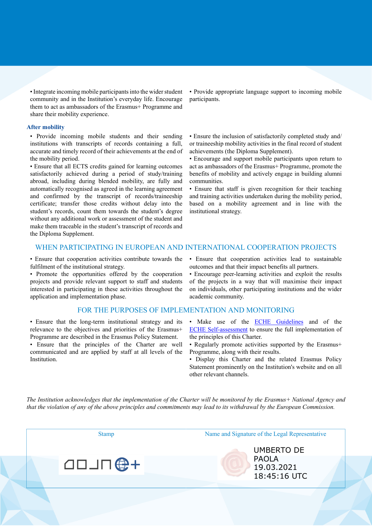• Integrate incoming mobile participants into the wider student community and in the Institution's everyday life. Encourage them to act as ambassadors of the Erasmus+ Programme and share their mobility experience.

#### **After mobility**

• Provide incoming mobile students and their sending institutions with transcripts of records containing a full, accurate and timely record of their achievements at the end of the mobility period.

• Ensure that all ECTS credits gained for learning outcomes satisfactorily achieved during a period of study/training abroad, including during blended mobility, are fully and automatically recognised as agreed in the learning agreement and confirmed by the transcript of records/traineeship certificate; transfer those credits without delay into the student's records, count them towards the student's degree without any additional work or assessment of the student and make them traceable in the student's transcript of records and the Diploma Supplement.

• Provide appropriate language support to incoming mobile participants.

• Ensure the inclusion of satisfactorily completed study and/ or traineeship mobility activities in the final record of student achievements (the Diploma Supplement).

• Encourage and support mobile participants upon return to act as ambassadors of the Erasmus+ Programme, promote the benefits of mobility and actively engage in building alumni communities.

• Ensure that staff is given recognition for their teaching and training activities undertaken during the mobility period, based on a mobility agreement and in line with the institutional strategy.

## WHEN PARTICIPATING IN EUROPEAN AND INTERNATIONAL COOPERATION PROJECTS

• Ensure that cooperation activities contribute towards the fulfilment of the institutional strategy.

• Promote the opportunities offered by the cooperation projects and provide relevant support to staff and students interested in participating in these activities throughout the application and implementation phase.

#### FOR THE PURPOSES OF IMPLEMENTATION AND MONITORING

• Ensure that the long-term institutional strategy and its relevance to the objectives and priorities of the Erasmus+ Programme are described in the Erasmus Policy Statement.

• Ensure that the principles of the Charter are well communicated and are applied by staff at all levels of the Institution.

• Ensure that cooperation activities lead to sustainable outcomes and that their impact benefits all partners.

• Encourage peer-learning activities and exploit the results of the projects in a way that will maximise their impact on individuals, other participating institutions and the wider academic community.

- Make use of the **ECHE Guidelines** and of the [ECHE Self-assessment](https://ec.europa.eu/programmes/erasmus-plus/eche/start_en) to ensure the full implementation of the principles of this Charter.
- Regularly promote activities supported by the Erasmus+ Programme, along with their results.
- Display this Charter and the related Erasmus Policy Statement prominently on the Institution's website and on all other relevant channels.

The Institution acknowledges that the implementation of the Charter will be monitored by the Erasmus+ National Agency and that the violation of any of the above principles and commitments may lead to its withdrawal by the European Commission.

**49 NLOD** 

Stamp Name and Signature of the Legal Representative

UMBERTO DE PAOLA 19.03.2021 18:45:16 UTC